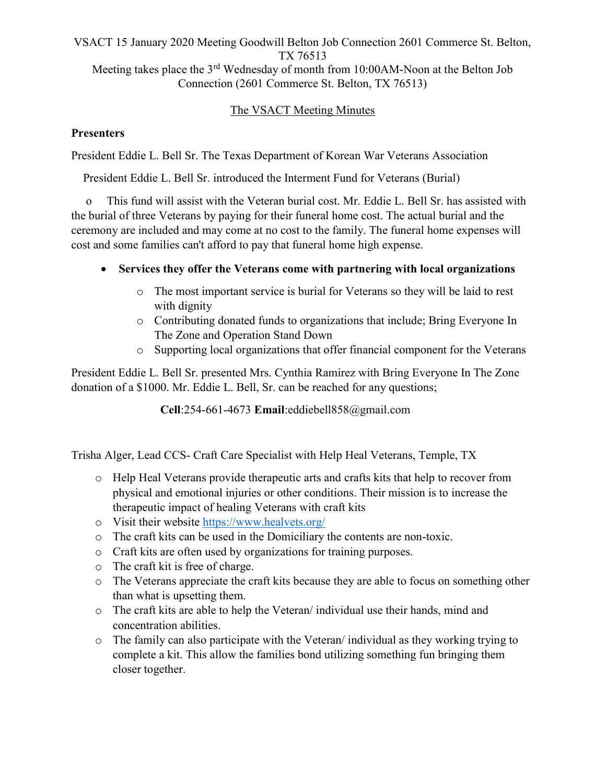#### VSACT 15 January 2020 Meeting Goodwill Belton Job Connection 2601 Commerce St. Belton, TX 76513 Meeting takes place the 3<sup>rd</sup> Wednesday of month from 10:00AM-Noon at the Belton Job Connection (2601 Commerce St. Belton, TX 76513)

### The VSACT Meeting Minutes

#### **Presenters**

President Eddie L. Bell Sr. The Texas Department of Korean War Veterans Association

President Eddie L. Bell Sr. introduced the Interment Fund for Veterans (Burial)

 o This fund will assist with the Veteran burial cost. Mr. Eddie L. Bell Sr. has assisted with the burial of three Veterans by paying for their funeral home cost. The actual burial and the ceremony are included and may come at no cost to the family. The funeral home expenses will cost and some families can't afford to pay that funeral home high expense.

- Services they offer the Veterans come with partnering with local organizations
	- o The most important service is burial for Veterans so they will be laid to rest with dignity
	- o Contributing donated funds to organizations that include; Bring Everyone In The Zone and Operation Stand Down
	- o Supporting local organizations that offer financial component for the Veterans

President Eddie L. Bell Sr. presented Mrs. Cynthia Ramirez with Bring Everyone In The Zone donation of a \$1000. Mr. Eddie L. Bell, Sr. can be reached for any questions;

Cell:254-661-4673 Email:eddiebell858@gmail.com

Trisha Alger, Lead CCS- Craft Care Specialist with Help Heal Veterans, Temple, TX

- o Help Heal Veterans provide therapeutic arts and crafts kits that help to recover from physical and emotional injuries or other conditions. Their mission is to increase the therapeutic impact of healing Veterans with craft kits
- o Visit their website https://www.healvets.org/
- o The craft kits can be used in the Domiciliary the contents are non-toxic.
- o Craft kits are often used by organizations for training purposes.
- o The craft kit is free of charge.
- o The Veterans appreciate the craft kits because they are able to focus on something other than what is upsetting them.
- o The craft kits are able to help the Veteran/ individual use their hands, mind and concentration abilities.
- o The family can also participate with the Veteran/ individual as they working trying to complete a kit. This allow the families bond utilizing something fun bringing them closer together.